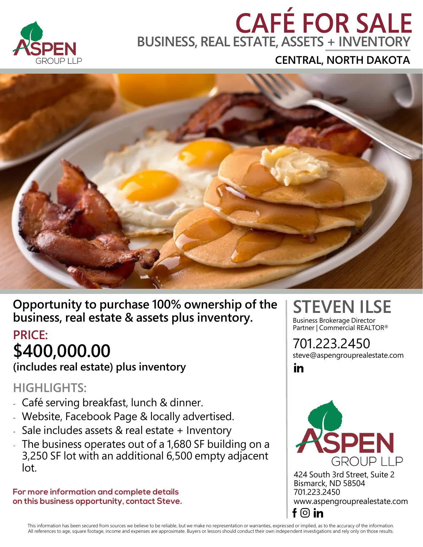

# **BUSINESS, REAL ESTATE, ASSETS + INVENTORY**

**CENTRAL, NORTH DAKOTA**



**Opportunity to purchase 100% ownership of the business, real estate & assets plus inventory.**

#### **PRICE: \$400,000.00**

**(includes real estate) plus inventory**

#### **HIGHLIGHTS:**

- Café serving breakfast, lunch & dinner.
- Website, Facebook Page & locally advertised.
- Sale includes assets & real estate + Inventory
- The business operates out of a 1,680 SF building on a 3,250 SF lot with an additional 6,500 empty adjacent lot.

For more information and complete details on this business opportunity, contact Steve.

## **STEVEN ILSE**

Business Brokerage Director Partner | Commercial REALTOR<sup>®</sup>

701.223.2450 steve@aspengrouprealestate.com

in